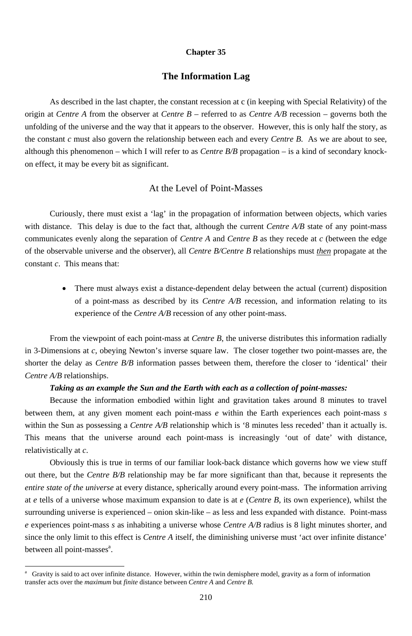#### **Chapter 35**

## **The Information Lag**

As described in the last chapter, the constant recession at c (in keeping with Special Relativity) of the origin at *Centre A* from the observer at *Centre B* – referred to as *Centre A/B* recession – governs both the unfolding of the universe and the way that it appears to the observer. However, this is only half the story, as the constant *c* must also govern the relationship between each and every *Centre B*. As we are about to see, although this phenomenon – which I will refer to as *Centre B/B* propagation – is a kind of secondary knockon effect, it may be every bit as significant.

### At the Level of Point-Masses

Curiously, there must exist a 'lag' in the propagation of information between objects, which varies with distance. This delay is due to the fact that, although the current *Centre A/B* state of any point-mass communicates evenly along the separation of *Centre A* and *Centre B* as they recede at *c* (between the edge of the observable universe and the observer), all *Centre B/Centre B* relationships must *then* propagate at the constant *c*. This means that:

> • There must always exist a distance-dependent delay between the actual (current) disposition of a point-mass as described by its *Centre A/B* recession, and information relating to its experience of the *Centre A/B* recession of any other point-mass.

out there, but the *Centre B/B* relationship may be far more significant than that, because it represents the *entire state of the universe* at every distance, spherically around every point-mass. The information arriving at *e* tells of a universe whose maximum expansion to date is at *e* (*Centre B*, its own experience), whilst the surrounding universe is experienced – onion skin-like – as less and less expanded with distance. Point-mass *e* experiences point-mass *s* as inhabiting a universe whose *Centre A/B* radius is 8 light minutes shorter, and since the only limit to this effect is *Centre A* itself, the diminishing universe must 'act over infinite distance' between all point-masses<sup>a</sup>.

From the viewpoint of each point-mass at *Centre B*, the universe distributes this information radially in 3-Dimensions at *c*, obeying Newton's inverse square law. The closer together two point-masses are, the shorter the delay as *Centre B/B* information passes between them, therefore the closer to 'identical' their *Centre A/B* relationships.

#### *Taking as an example the Sun and the Earth with each as a collection of point-masses:*

Because the information embodied within light and gravitation takes around 8 minutes to travel between them, at any given moment each point-mass *e* within the Earth experiences each point-mass *s* within the Sun as possessing a *Centre A/B* relationship which is '8 minutes less receded' than it actually is. This means that the universe around each point-mass is increasingly 'out of date' with distance, relativistically at *c*.

Obviously this is true in terms of our familiar look-back distance which governs how we view stuff

<sup>210</sup>

a Gravity is said to act over infinite distance. However, within the twin demisphere model, gravity as a form of information transfer acts over the *maximum* but *finite* distance between *Centre A* and *Centre B*.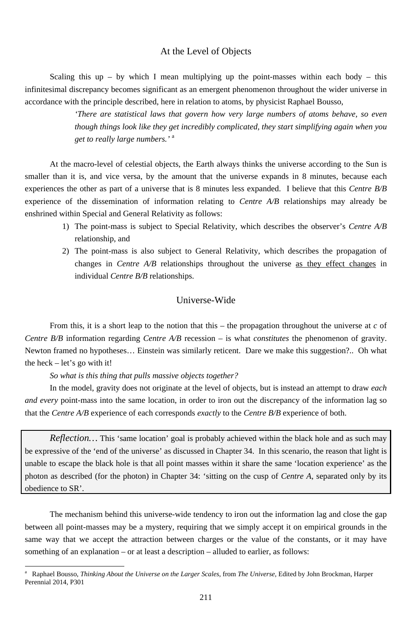211

# At the Level of Objects

Scaling this up – by which I mean multiplying up the point-masses within each body – this infinitesimal discrepancy becomes significant as an emergent phenomenon throughout the wider universe in accordance with the principle described, here in relation to atoms, by physicist Raphael Bousso,

> *'There are statistical laws that govern how very large numbers of atoms behave, so even though things look like they get incredibly complicated, they start simplifying again when you get to really large numbers.'* <sup>a</sup>

At the macro-level of celestial objects, the Earth always thinks the universe according to the Sun is smaller than it is, and vice versa, by the amount that the universe expands in 8 minutes, because each experiences the other as part of a universe that is 8 minutes less expanded. I believe that this *Centre B/B* experience of the dissemination of information relating to *Centre A/B* relationships may already be enshrined within Special and General Relativity as follows:

- 1) The point-mass is subject to Special Relativity, which describes the observer's *Centre A/B* relationship, and
- 2) The point-mass is also subject to General Relativity, which describes the propagation of changes in *Centre A/B* relationships throughout the universe as they effect changes in individual *Centre B/B* relationships.

# Universe-Wide

From this, it is a short leap to the notion that this – the propagation throughout the universe at *c* of *Centre B/B* information regarding *Centre A/B* recession – is what *constitutes* the phenomenon of gravity. Newton framed no hypotheses… Einstein was similarly reticent. Dare we make this suggestion?.. Oh what the heck – let's go with it!

*So what is this thing that pulls massive objects together?* 

-

In the model, gravity does not originate at the level of objects, but is instead an attempt to draw *each and every* point-mass into the same location, in order to iron out the discrepancy of the information lag so that the *Centre A/B* experience of each corresponds *exactly* to the *Centre B/B* experience of both.

*Reflection…* This 'same location' goal is probably achieved within the black hole and as such may be expressive of the 'end of the universe' as discussed in Chapter 34. In this scenario, the reason that light is unable to escape the black hole is that all point masses within it share the same 'location experience' as the

The mechanism behind this universe-wide tendency to iron out the information lag and close the gap between all point-masses may be a mystery, requiring that we simply accept it on empirical grounds in the same way that we accept the attraction between charges or the value of the constants, or it may have something of an explanation – or at least a description – alluded to earlier, as follows:

a Raphael Bousso, *Thinking About the Universe on the Larger Scales*, from *The Universe*, Edited by John Brockman, Harper Perennial 2014, P301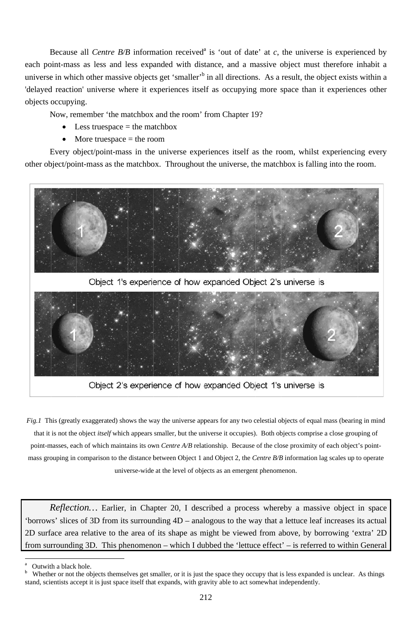Because all *Centre B/B* information received<sup>a</sup> is 'out of date' at c, the universe is experienced by each point-mass as less and less expanded with distance, and a massive object must therefore inhabit a universe in which other massive objects get 'smaller'<sup>b</sup> in all directions. As a result, the object exists within a 'delayed reaction' universe where it experiences itself as occupying more space than it experiences other o objects o occupyi ng. Because all *Centre B/B* information received<sup>a</sup> is 'out of date' at *c*, the universe is experienced by

Now, remember 'the matchbox and the room' from Chapter 19?

- Less truespace  $=$  the matchbox
- More truespace  $=$  the room

other object/point-mass as the matchbox. Throughout the universe, the matchbox is falling into the room. Every object/point-mass in the universe experiences itself as the room, whilst experiencing every



Object 1's experience of how expanded Object 2's universe is



Object 2's experience of how expanded Object 1's universe is

*Fig.1* This (greatly exaggerated) shows the way the universe appears for any two celestial objects of equal mass (bearing in mind that it is not the object *itself* which appears smaller, but the universe it occupies). Both objects comprise a close grouping of point-masses, each of which maintains its own *Centre A/B* relationship. Because of the close proximity of each object's pointmass grouping in comparison to the distance between Object 1 and Object 2, the *Centre B/B* information lag scales up to operate d<br>e<br>ce

2D surface area relative to the area of its shape as might be viewed from above, by borrowing 'extra' 2D 2D surface area relative to the area of its shape as might be viewed from above, by borrowing 'extra' 2D<br>from surrounding 3D. This phenomenon – which I dubbed the 'lettuce effect' – is referred to within General Reflection... Earlier, in Chapter 20, I described a process whereby a massive object in spac 'borrows' slices of 3D from its surrounding  $4D$  – analogous to the way that a lettuce leaf increases its actual

l

l

a Outwith a black hole.

b stand, scientists accept it is just space itself that expands, with gravity able to act somewhat independently. Whether or not the objects themselves get smaller, or it is just the space they occupy that is less expanded is unclear. As things

<sup>2</sup> 12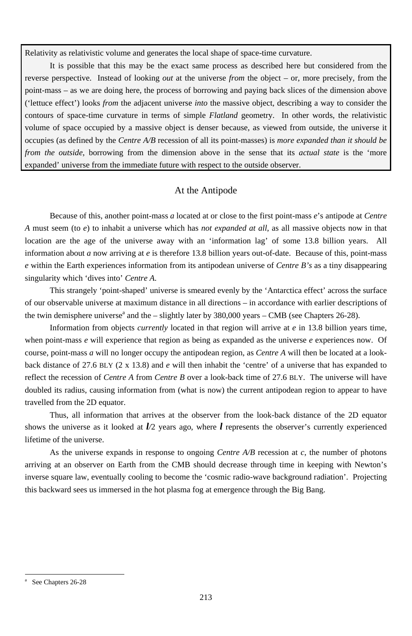213

Relativity as relativistic volume and generates the local shape of space-time curvature.

It is possible that this may be the exact same process as described here but considered from the reverse perspective. Instead of looking *out* at the universe *from* the object – or, more precisely, from the point-mass – as we are doing here, the process of borrowing and paying back slices of the dimension above ('lettuce effect') looks *from* the adjacent universe *into* the massive object, describing a way to consider the contours of space-time curvature in terms of simple *Flatland* geometry. In other words, the relativistic volume of space occupied by a massive object is denser because, as viewed from outside, the universe it occupies (as defined by the *Centre A/B* recession of all its point-masses) is *more expanded than it should be from the outside*, borrowing from the dimension above in the sense that its *actual state* is the 'more expanded' universe from the immediate future with respect to the outside observer.

This strangely 'point-shaped' universe is smeared evenly by the 'Antarctica effect' across the surface of our observable universe at maximum distance in all directions – in accordance with earlier descriptions of the twin demisphere universe<sup>a</sup> and the  $-$  slightly later by 380,000 years  $-$  CMB (see Chapters 26-28).

### At the Antipode

Because of this, another point-mass *a* located at or close to the first point-mass *e*'s antipode at *Centre A* must seem (to *e*) to inhabit a universe which has *not expanded at all*, as all massive objects now in that location are the age of the universe away with an 'information lag' of some 13.8 billion years. All information about *a* now arriving at *e* is therefore 13.8 billion years out-of-date. Because of this, point-mass *e* within the Earth experiences information from its antipodean universe of *Centre B's* as a tiny disappearing singularity which 'dives into' *Centre A*.

Information from objects *currently* located in that region will arrive at *e* in 13.8 billion years time, when point-mass *e* will experience that region as being as expanded as the universe *e* experiences now. Of course, point-mass *a* will no longer occupy the antipodean region, as *Centre A* will then be located at a lookback distance of 27.6 BLY (2 x 13.8) and *e* will then inhabit the 'centre' of a universe that has expanded to reflect the recession of *Centre A* from *Centre B* over a look-back time of 27.6 BLY. The universe will have doubled its radius, causing information from (what is now) the current antipodean region to appear to have travelled from the 2D equator.

Thus, all information that arrives at the observer from the look-back distance of the 2D equator shows the universe as it looked at *l/*2 years ago, where *l* represents the observer's currently experienced lifetime of the universe.

As the universe expands in response to ongoing *Centre A/B* recession at *c*, the number of photons arriving at an observer on Earth from the CMB should decrease through time in keeping with Newton's inverse square law, eventually cooling to become the 'cosmic radio-wave background radiation'. Projecting this backward sees us immersed in the hot plasma fog at emergence through the Big Bang.

a See Chapters 26-28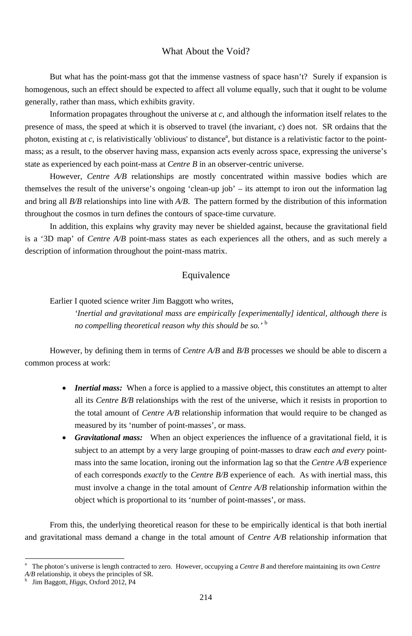### What About the Void?

But what has the point-mass got that the immense vastness of space hasn't? Surely if expansion is homogenous, such an effect should be expected to affect all volume equally, such that it ought to be volume generally, rather than mass, which exhibits gravity.

Information propagates throughout the universe at *c*, and although the information itself relates to the presence of mass, the speed at which it is observed to travel (the invariant, *c*) does not. SR ordains that the photon, existing at  $c$ , is relativistically 'oblivious' to distance<sup>a</sup>, but distance is a relativistic factor to the pointmass; as a result, to the observer having mass, expansion acts evenly across space, expressing the universe's state as experienced by each point-mass at *Centre B* in an observer-centric universe.

However, *Centre A/B* relationships are mostly concentrated within massive bodies which are themselves the result of the universe's ongoing 'clean-up job' – its attempt to iron out the information lag and bring all *B/B* relationships into line with *A/B*. The pattern formed by the distribution of this information throughout the cosmos in turn defines the contours of space-time curvature.

- *Inertial mass:* When a force is applied to a massive object, this constitutes an attempt to alter all its *Centre B/B* relationships with the rest of the universe, which it resists in proportion to the total amount of *Centre A/B* relationship information that would require to be changed as measured by its 'number of point-masses', or mass.
- *Gravitational mass:* When an object experiences the influence of a gravitational field, it is subject to an attempt by a very large grouping of point-masses to draw *each and every* pointmass into the same location, ironing out the information lag so that the *Centre A/B* experience

In addition, this explains why gravity may never be shielded against, because the gravitational field is a '3D map' of *Centre A/B* point-mass states as each experiences all the others, and as such merely a description of information throughout the point-mass matrix.

## Equivalence

Earlier I quoted science writer Jim Baggott who writes,

*'Inertial and gravitational mass are empirically [experimentally] identical, although there is no compelling theoretical reason why this should be so.'* <sup>b</sup>

However, by defining them in terms of *Centre A/B* and *B/B* processes we should be able to discern a common process at work:

> of each corresponds *exactly* to the *Centre B/B* experience of each. As with inertial mass, this must involve a change in the total amount of *Centre A/B* relationship information within the object which is proportional to its 'number of point-masses', or mass.

From this, the underlying theoretical reason for these to be empirically identical is that both inertial and gravitational mass demand a change in the total amount of *Centre A/B* relationship information that

<sup>214</sup>

a The photon's universe is length contracted to zero. However, occupying a *Centre B* and therefore maintaining its own *Centre A/B* relationship, it obeys the principles of SR.

b Jim Baggott, *Higgs*, Oxford 2012, P4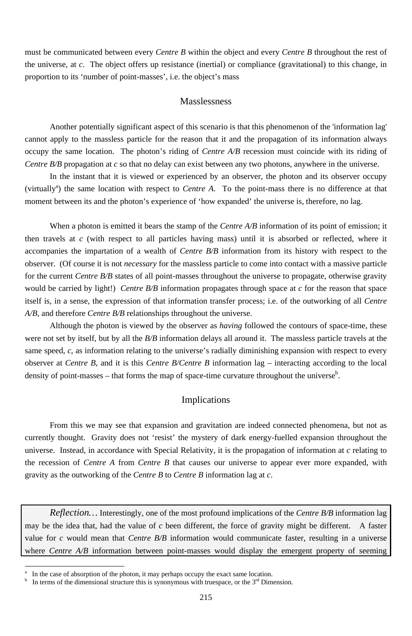must be communicated between every *Centre B* within the object and every *Centre B* throughout the rest of the universe, at *c*. The object offers up resistance (inertial) or compliance (gravitational) to this change, in proportion to its 'number of point-masses', i.e. the object's mass

Another potentially significant aspect of this scenario is that this phenomenon of the 'information lag' cannot apply to the massless particle for the reason that it and the propagation of its information always occupy the same location. The photon's riding of *Centre A/B* recession must coincide with its riding of *Centre B/B* propagation at *c* so that no delay can exist between any two photons, anywhere in the universe.

#### Masslessness

In the instant that it is viewed or experienced by an observer, the photon and its observer occupy (virtually<sup>a</sup>) the same location with respect to *Centre A*. To the point-mass there is no difference at that moment between its and the photon's experience of 'how expanded' the universe is, therefore, no lag.

When a photon is emitted it bears the stamp of the *Centre A/B* information of its point of emission; it then travels at *c* (with respect to all particles having mass) until it is absorbed or reflected, where it accompanies the impartation of a wealth of *Centre B/B* information from its history with respect to the observer. (Of course it is not *necessary* for the massless particle to come into contact with a massive particle for the current *Centre B/B* states of all point-masses throughout the universe to propagate, otherwise gravity would be carried by light!) *Centre B/B* information propagates through space at *c* for the reason that space itself is, in a sense, the expression of that information transfer process; i.e. of the outworking of all *Centre A/B,* and therefore *Centre B/B* relationships throughout the universe.

Although the photon is viewed by the observer as *having* followed the contours of space-time, these were not set by itself, but by all the *B/B* information delays all around it. The massless particle travels at the same speed, *c*, as information relating to the universe's radially diminishing expansion with respect to every observer at *Centre B*, and it is this *Centre B/Centre B* information lag – interacting according to the local density of point-masses – that forms the map of space-time curvature throughout the universe<sup>b</sup>.

*Reflection…* Interestingly, one of the most profound implications of the *Centre B/B* information lag may be the idea that, had the value of *c* been different, the force of gravity might be different. A faster value for *c* would mean that *Centre B/B* information would communicate faster, resulting in a universe where *Centre A/B* information between point-masses would display the emergent property of seeming

### Implications

From this we may see that expansion and gravitation are indeed connected phenomena, but not as currently thought. Gravity does not 'resist' the mystery of dark energy-fuelled expansion throughout the universe. Instead, in accordance with Special Relativity, it is the propagation of information at *c* relating to the recession of *Centre A* from *Centre B* that causes our universe to appear ever more expanded, with

gravity as the outworking of the *Centre B* to *Centre B* information lag at *c*.

<sup>215</sup>

b In terms of the dimensional structure this is synonymous with truespace, or the  $3<sup>rd</sup>$  Dimension.

a In the case of absorption of the photon, it may perhaps occupy the exact same location.